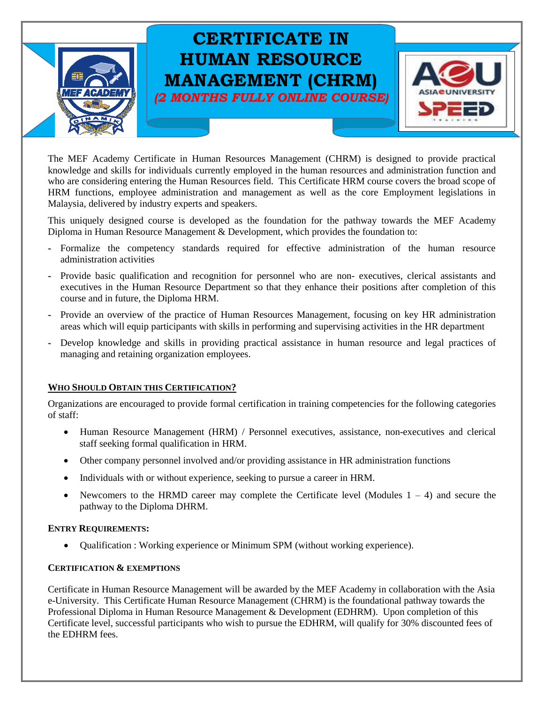

# **CERTIFICATE IN HUMAN RESOURCE MANAGEMENT (CHRM)** *(2 MONTHS FULLY ONLINE COURSE)*



The MEF Academy Certificate in Human Resources Management (CHRM) is designed to provide practical knowledge and skills for individuals currently employed in the human resources and administration function and who are considering entering the Human Resources field. This Certificate HRM course covers the broad scope of HRM functions, employee administration and management as well as the core Employment legislations in Malaysia, delivered by industry experts and speakers.

This uniquely designed course is developed as the foundation for the pathway towards the MEF Academy Diploma in Human Resource Management & Development, which provides the foundation to:

- Formalize the competency standards required for effective administration of the human resource administration activities
- Provide basic qualification and recognition for personnel who are non- executives, clerical assistants and executives in the Human Resource Department so that they enhance their positions after completion of this course and in future, the Diploma HRM.
- Provide an overview of the practice of Human Resources Management, focusing on key HR administration areas which will equip participants with skills in performing and supervising activities in the HR department
- Develop knowledge and skills in providing practical assistance in human resource and legal practices of managing and retaining organization employees.

#### **WHO SHOULD OBTAIN THIS CERTIFICATION?**

Organizations are encouraged to provide formal certification in training competencies for the following categories of staff:

- Human Resource Management (HRM) / Personnel executives, assistance, non-executives and clerical staff seeking formal qualification in HRM.
- Other company personnel involved and/or providing assistance in HR administration functions
- Individuals with or without experience, seeking to pursue a career in HRM.
- Newcomers to the HRMD career may complete the Certificate level (Modules  $1 4$ ) and secure the pathway to the Diploma DHRM.

#### **ENTRY REQUIREMENTS:**

Qualification : Working experience or Minimum SPM (without working experience).

#### **CERTIFICATION & EXEMPTIONS**

Certificate in Human Resource Management will be awarded by the MEF Academy in collaboration with the Asia e-University. This Certificate Human Resource Management (CHRM) is the foundational pathway towards the Professional Diploma in Human Resource Management & Development (EDHRM). Upon completion of this Certificate level, successful participants who wish to pursue the EDHRM, will qualify for 30% discounted fees of the EDHRM fees.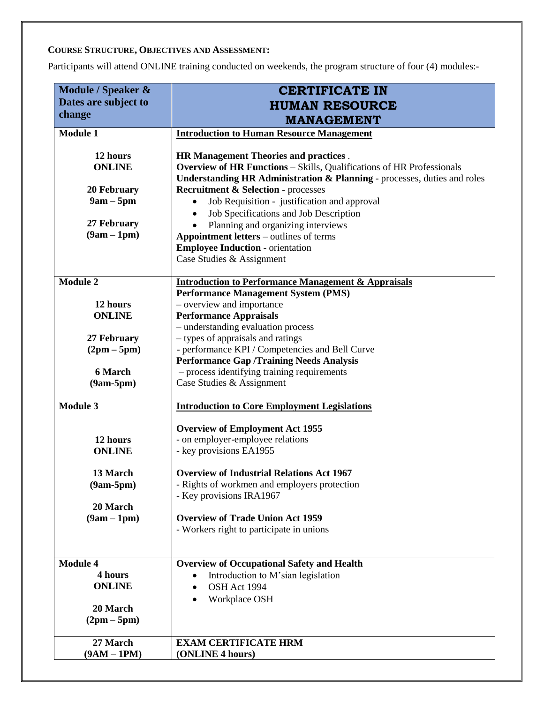# **COURSE STRUCTURE, OBJECTIVES AND ASSESSMENT:**

Participants will attend ONLINE training conducted on weekends, the program structure of four (4) modules:-

| Module / Speaker &         | <b>CERTIFICATE IN</b>                                                                            |  |  |
|----------------------------|--------------------------------------------------------------------------------------------------|--|--|
| Dates are subject to       | <b>HUMAN RESOURCE</b>                                                                            |  |  |
| change                     | <b>MANAGEMENT</b>                                                                                |  |  |
| <b>Module 1</b>            | <b>Introduction to Human Resource Management</b>                                                 |  |  |
|                            |                                                                                                  |  |  |
| 12 hours                   | <b>HR Management Theories and practices.</b>                                                     |  |  |
| <b>ONLINE</b>              | <b>Overview of HR Functions - Skills, Qualifications of HR Professionals</b>                     |  |  |
|                            | Understanding HR Administration & Planning - processes, duties and roles                         |  |  |
| 20 February<br>$9am - 5pm$ | <b>Recruitment &amp; Selection - processes</b>                                                   |  |  |
|                            | Job Requisition - justification and approval                                                     |  |  |
| 27 February                | Job Specifications and Job Description                                                           |  |  |
| $(9am - 1pm)$              | Planning and organizing interviews<br>Appointment letters – outlines of terms                    |  |  |
|                            | <b>Employee Induction - orientation</b>                                                          |  |  |
|                            | Case Studies & Assignment                                                                        |  |  |
|                            |                                                                                                  |  |  |
| <b>Module 2</b>            | <b>Introduction to Performance Management &amp; Appraisals</b>                                   |  |  |
|                            | <b>Performance Management System (PMS)</b>                                                       |  |  |
| 12 hours                   | - overview and importance                                                                        |  |  |
| <b>ONLINE</b>              | <b>Performance Appraisals</b>                                                                    |  |  |
|                            | - understanding evaluation process                                                               |  |  |
| 27 February                | - types of appraisals and ratings                                                                |  |  |
| $(2pm-5pm)$                | - performance KPI / Competencies and Bell Curve                                                  |  |  |
|                            | <b>Performance Gap /Training Needs Analysis</b>                                                  |  |  |
| 6 March                    | - process identifying training requirements                                                      |  |  |
| $(9am-5pm)$                | Case Studies & Assignment                                                                        |  |  |
| <b>Module 3</b>            | <b>Introduction to Core Employment Legislations</b>                                              |  |  |
|                            | <b>Overview of Employment Act 1955</b>                                                           |  |  |
| 12 hours                   | - on employer-employee relations                                                                 |  |  |
| <b>ONLINE</b>              | - key provisions EA1955                                                                          |  |  |
|                            |                                                                                                  |  |  |
| 13 March                   | <b>Overview of Industrial Relations Act 1967</b><br>- Rights of workmen and employers protection |  |  |
| $(9am-5pm)$                | - Key provisions IRA1967                                                                         |  |  |
| 20 March                   |                                                                                                  |  |  |
| $(9am - 1pm)$              | <b>Overview of Trade Union Act 1959</b>                                                          |  |  |
|                            | - Workers right to participate in unions                                                         |  |  |
|                            |                                                                                                  |  |  |
| <b>Module 4</b>            | <b>Overview of Occupational Safety and Health</b>                                                |  |  |
| 4 hours                    | Introduction to M'sian legislation<br>$\bullet$                                                  |  |  |
| <b>ONLINE</b>              | OSH Act 1994                                                                                     |  |  |
|                            | Workplace OSH                                                                                    |  |  |
| 20 March                   |                                                                                                  |  |  |
| $(2pm-5pm)$                |                                                                                                  |  |  |
| 27 March                   | <b>EXAM CERTIFICATE HRM</b>                                                                      |  |  |
| $(9AM - 1PM)$              | (ONLINE 4 hours)                                                                                 |  |  |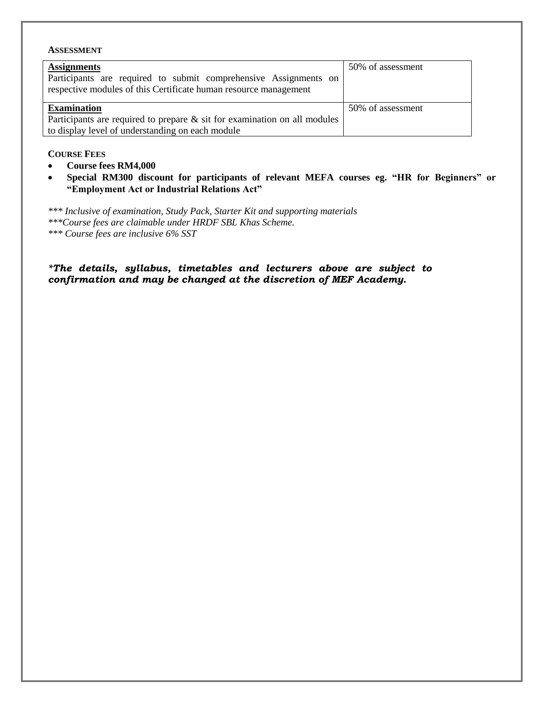## **ASSESSMENT**

| <b>Assignments</b>                                                                                                                   | 50% of assessment |
|--------------------------------------------------------------------------------------------------------------------------------------|-------------------|
| Participants are required to submit comprehensive Assignments on<br>respective modules of this Certificate human resource management |                   |
| <b>Examination</b>                                                                                                                   | 50% of assessment |
| Participants are required to prepare $\&$ sit for examination on all modules                                                         |                   |
| to display level of understanding on each module                                                                                     |                   |

#### **COURSE FEES**

- **Course fees RM4,000**
- **Special RM300 discount for participants of relevant MEFA courses eg. "HR for Beginners" or "Employment Act or Industrial Relations Act"**

*\*\*\* Inclusive of examination, Study Pack, Starter Kit and supporting materials \*\*\*Course fees are claimable under HRDF SBL Khas Scheme. \*\*\* Course fees are inclusive 6% SST*

*\*The details, syllabus, timetables and lecturers above are subject to confirmation and may be changed at the discretion of MEF Academy.*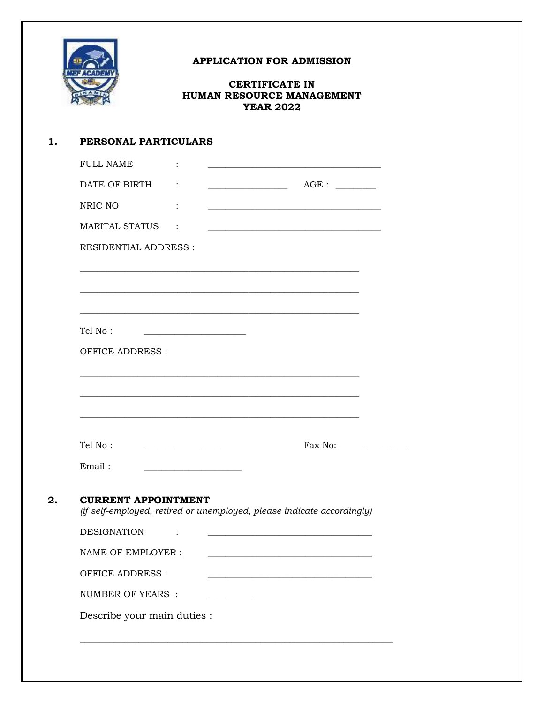

 $2.$ 

# **APPLICATION FOR ADMISSION**

## **CERTIFICATE IN** HUMAN RESOURCE MANAGEMENT **YEAR 2022**

## 1. PERSONAL PARTICULARS

| DATE OF BIRTH<br>$\ddot{\cdot}$<br>NRIC NO<br>$\ddot{\cdot}$<br>MARITAL STATUS<br>$\ddot{\cdot}$<br><u> 1989 - Johann Harry Harry Harry Harry Harry Harry Harry Harry Harry Harry Harry Harry Harry Harry Harry Harry</u><br><b>RESIDENTIAL ADDRESS:</b><br>Tel No:<br><b>OFFICE ADDRESS:</b><br>Tel No:<br>Email:<br>the control of the control of the control of the control of the control of the control of<br><b>CURRENT APPOINTMENT</b><br>(if self-employed, retired or unemployed, please indicate accordingly)<br><b>DESIGNATION</b><br>NAME OF EMPLOYER :<br><b>OFFICE ADDRESS:</b><br><b>NUMBER OF YEARS:</b> |  |         |
|--------------------------------------------------------------------------------------------------------------------------------------------------------------------------------------------------------------------------------------------------------------------------------------------------------------------------------------------------------------------------------------------------------------------------------------------------------------------------------------------------------------------------------------------------------------------------------------------------------------------------|--|---------|
|                                                                                                                                                                                                                                                                                                                                                                                                                                                                                                                                                                                                                          |  |         |
|                                                                                                                                                                                                                                                                                                                                                                                                                                                                                                                                                                                                                          |  |         |
|                                                                                                                                                                                                                                                                                                                                                                                                                                                                                                                                                                                                                          |  |         |
|                                                                                                                                                                                                                                                                                                                                                                                                                                                                                                                                                                                                                          |  |         |
|                                                                                                                                                                                                                                                                                                                                                                                                                                                                                                                                                                                                                          |  |         |
|                                                                                                                                                                                                                                                                                                                                                                                                                                                                                                                                                                                                                          |  |         |
|                                                                                                                                                                                                                                                                                                                                                                                                                                                                                                                                                                                                                          |  |         |
|                                                                                                                                                                                                                                                                                                                                                                                                                                                                                                                                                                                                                          |  |         |
|                                                                                                                                                                                                                                                                                                                                                                                                                                                                                                                                                                                                                          |  |         |
|                                                                                                                                                                                                                                                                                                                                                                                                                                                                                                                                                                                                                          |  |         |
|                                                                                                                                                                                                                                                                                                                                                                                                                                                                                                                                                                                                                          |  |         |
|                                                                                                                                                                                                                                                                                                                                                                                                                                                                                                                                                                                                                          |  |         |
|                                                                                                                                                                                                                                                                                                                                                                                                                                                                                                                                                                                                                          |  | Fax No: |
|                                                                                                                                                                                                                                                                                                                                                                                                                                                                                                                                                                                                                          |  |         |
|                                                                                                                                                                                                                                                                                                                                                                                                                                                                                                                                                                                                                          |  |         |
|                                                                                                                                                                                                                                                                                                                                                                                                                                                                                                                                                                                                                          |  |         |
|                                                                                                                                                                                                                                                                                                                                                                                                                                                                                                                                                                                                                          |  |         |
|                                                                                                                                                                                                                                                                                                                                                                                                                                                                                                                                                                                                                          |  |         |
|                                                                                                                                                                                                                                                                                                                                                                                                                                                                                                                                                                                                                          |  |         |
|                                                                                                                                                                                                                                                                                                                                                                                                                                                                                                                                                                                                                          |  |         |
|                                                                                                                                                                                                                                                                                                                                                                                                                                                                                                                                                                                                                          |  |         |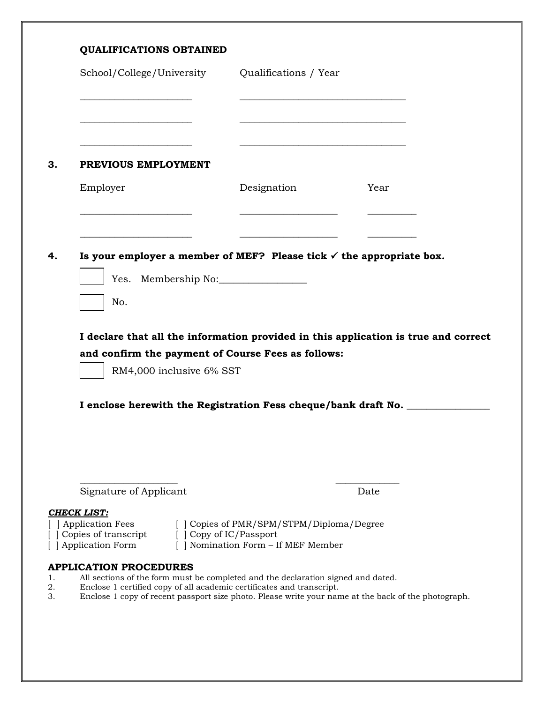| <b>QUALIFICATIONS OBTAINED</b> |  |
|--------------------------------|--|
|--------------------------------|--|

|                                                                                                                                           | Qualifications / Year                                                                               |      |
|-------------------------------------------------------------------------------------------------------------------------------------------|-----------------------------------------------------------------------------------------------------|------|
|                                                                                                                                           |                                                                                                     |      |
| PREVIOUS EMPLOYMENT                                                                                                                       |                                                                                                     |      |
| Employer                                                                                                                                  | Designation                                                                                         | Year |
|                                                                                                                                           |                                                                                                     |      |
| Is your employer a member of MEF? Please tick $\checkmark$ the appropriate box.                                                           |                                                                                                     |      |
| Yes. Membership No:                                                                                                                       |                                                                                                     |      |
| No.                                                                                                                                       |                                                                                                     |      |
| I declare that all the information provided in this application is true and correct<br>and confirm the payment of Course Fees as follows: |                                                                                                     |      |
| RM4,000 inclusive 6% SST                                                                                                                  |                                                                                                     |      |
| I enclose herewith the Registration Fess cheque/bank draft No.                                                                            |                                                                                                     |      |
|                                                                                                                                           |                                                                                                     |      |
| Signature of Applicant                                                                                                                    |                                                                                                     | Date |
| <u>CHECK LIST:</u><br>Application Fees<br>  Copies of transcript<br>Application Form                                                      | Copies of PMR/SPM/STPM/Diploma/Degree<br>[ ] Copy of IC/Passport<br>Nomination Form - If MEF Member |      |

- 2. Enclose 1 certified copy of all academic certificates and transcript.
- 3. Enclose 1 copy of recent passport size photo. Please write your name at the back of the photograph.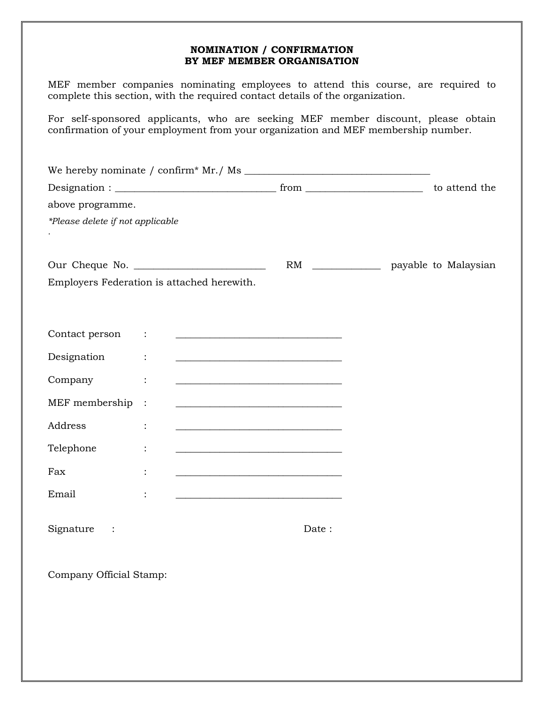#### **NOMINATION / CONFIRMATION BY MEF MEMBER ORGANISATION**

MEF member companies nominating employees to attend this course, are required to complete this section, with the required contact details of the organization.

For self-sponsored applicants, who are seeking MEF member discount, please obtain confirmation of your employment from your organization and MEF membership number.

| above programme.                           |                        |                                                                                                                       |                                          |  |
|--------------------------------------------|------------------------|-----------------------------------------------------------------------------------------------------------------------|------------------------------------------|--|
| *Please delete if not applicable           |                        |                                                                                                                       |                                          |  |
|                                            |                        |                                                                                                                       |                                          |  |
|                                            |                        |                                                                                                                       | RM ________________ payable to Malaysian |  |
| Employers Federation is attached herewith. |                        |                                                                                                                       |                                          |  |
|                                            |                        |                                                                                                                       |                                          |  |
|                                            |                        |                                                                                                                       |                                          |  |
| Contact person :                           |                        |                                                                                                                       |                                          |  |
| Designation                                |                        |                                                                                                                       |                                          |  |
| Company                                    |                        |                                                                                                                       |                                          |  |
| MEF membership                             | $\ddot{\phantom{1}}$ : |                                                                                                                       |                                          |  |
| Address                                    |                        | <u> 1989 - Johann Harry Harry Harry Harry Harry Harry Harry Harry Harry Harry Harry Harry Harry Harry Harry Harry</u> |                                          |  |
| Telephone                                  |                        | <u> 1989 - Johann Barn, mars an t-Amerikaansk politiker (* 1908)</u>                                                  |                                          |  |
| Fax                                        |                        |                                                                                                                       |                                          |  |
| Email                                      |                        | <u> 1989 - Johann John Stein, fransk politik (</u>                                                                    |                                          |  |
| Signature<br>$\overline{\phantom{a}}$ :    |                        | Date:                                                                                                                 |                                          |  |
|                                            |                        |                                                                                                                       |                                          |  |

Company Official Stamp: